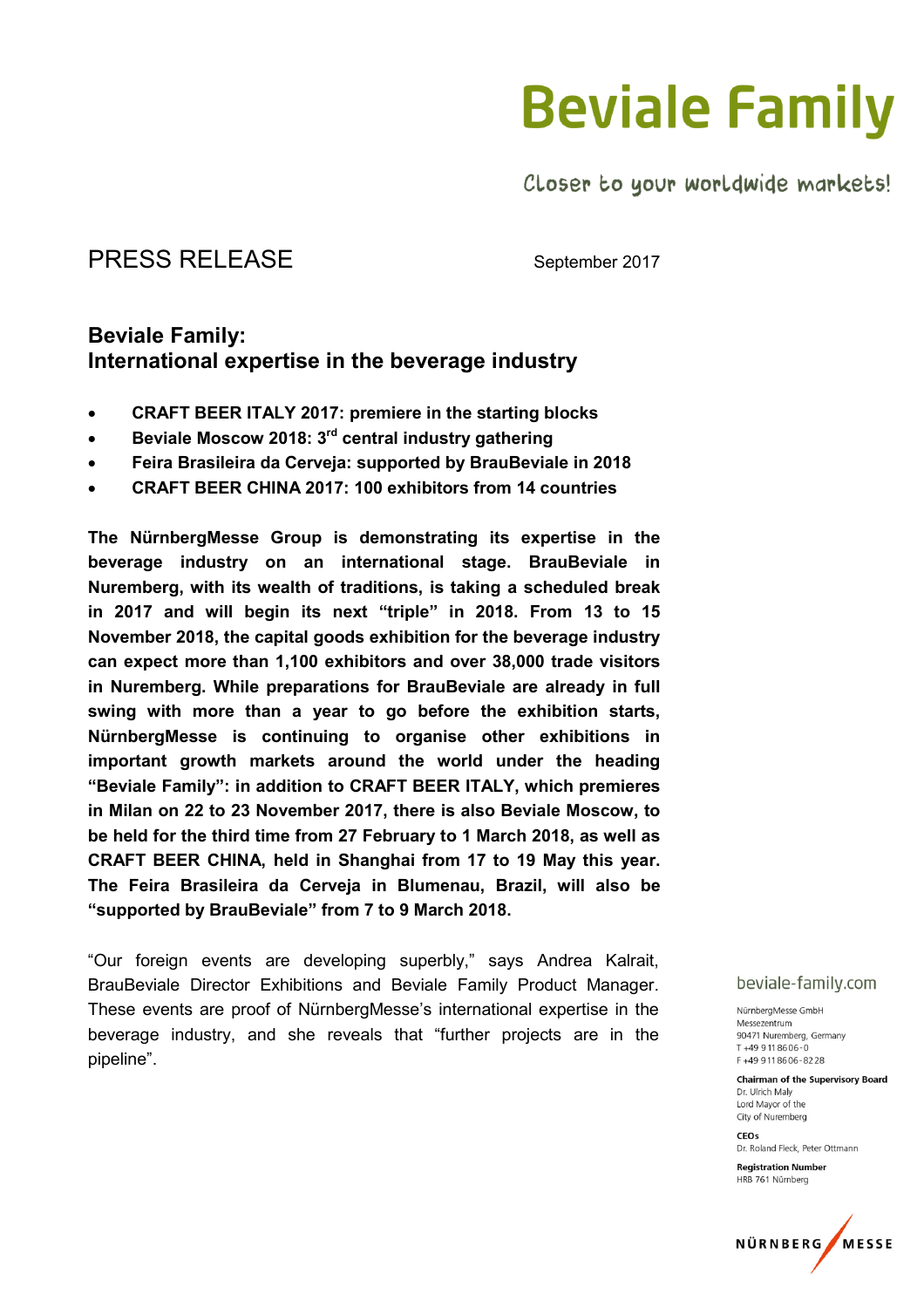Closer to your worldwide markets!

### PRESS RELEASE September 2017

### Beviale Family: International expertise in the beverage industry

- CRAFT BEER ITALY 2017: premiere in the starting blocks
- Beviale Moscow 2018: 3<sup>rd</sup> central industry gathering
- Feira Brasileira da Cerveja: supported by BrauBeviale in 2018
- CRAFT BEER CHINA 2017: 100 exhibitors from 14 countries

The NürnbergMesse Group is demonstrating its expertise in the beverage industry on an international stage. BrauBeviale Nuremberg, with its wealth of traditions, is taking a scheduled break in 2017 and will begin its next "triple" in 2018. From 13 to 15 November 2018, the capital goods exhibition for the beverage industry can expect more than 1,100 exhibitors and over 38,000 trade visitors in Nuremberg. While preparations for BrauBeviale are already in full swing with more than a year to go before the exhibition starts, NürnbergMesse is continuing to organise other exhibitions in important growth markets around the world under the heading "Beviale Family": in addition to CRAFT BEER ITALY, which premieres in Milan on 22 to 23 November 2017, there is also Beviale Moscow, to be held for the third time from 27 February to 1 March 2018, as well as CRAFT BEER CHINA, held in Shanghai from 17 to 19 May this year. The Feira Brasileira da Cerveja in Blumenau, Brazil, will also be "supported by BrauBeviale" from 7 to 9 March 2018.

"Our foreign events are developing superbly," says Andrea Kalrait, BrauBeviale Director Exhibitions and Beviale Family Product Manager. These events are proof of NürnbergMesse's international expertise in the beverage industry, and she reveals that "further projects are in the pipeline".

#### beviale-family.com

NürnbergMesse GmbH Messezentrum 90471 Nuremberg Germany  $T + 499118606 - 0$ F+499118606-8228

**Chairman of the Supervisory Board** Dr. Ulrich Malv Lord Mayor of the City of Nuremberg

 $CFOS$ Dr. Roland Fleck, Peter Ottmann

**Registration Number** HRB 761 Nürnberg

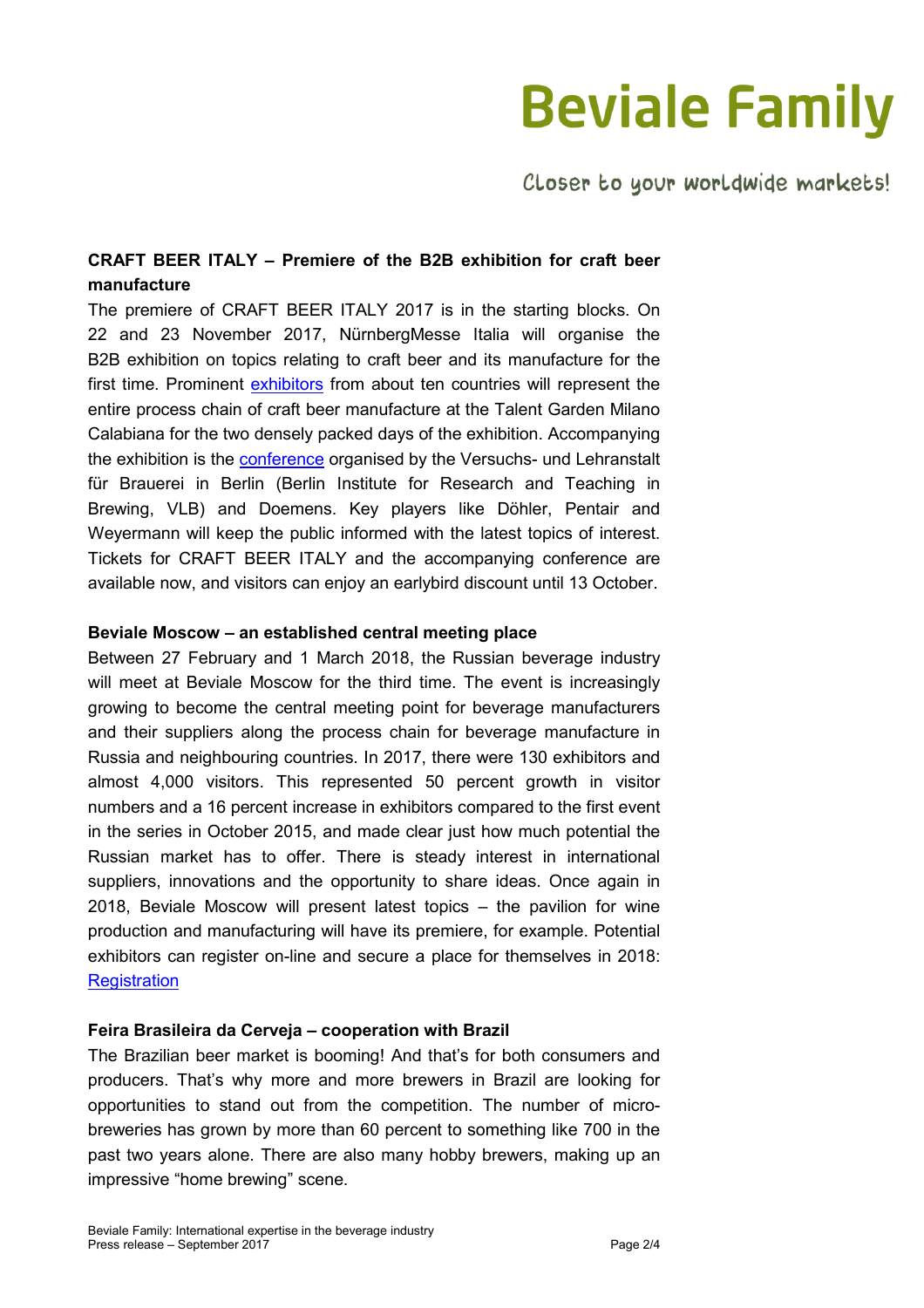Closer to your worldwide markets!

### CRAFT BEER ITALY – Premiere of the B2B exhibition for craft beer manufacture

The premiere of CRAFT BEER ITALY 2017 is in the starting blocks. On 22 and 23 November 2017, NürnbergMesse Italia will organise the B2B exhibition on topics relating to craft beer and its manufacture for the first time. Prominent exhibitors from about ten countries will represent the entire process chain of craft beer manufacture at the Talent Garden Milano Calabiana for the two densely packed days of the exhibition. Accompanying the exhibition is the conference organised by the Versuchs- und Lehranstalt für Brauerei in Berlin (Berlin Institute for Research and Teaching in Brewing, VLB) and Doemens. Key players like Döhler, Pentair and Weyermann will keep the public informed with the latest topics of interest. Tickets for CRAFT BEER ITALY and the accompanying conference are available now, and visitors can enjoy an earlybird discount until 13 October.

#### Beviale Moscow – an established central meeting place

Between 27 February and 1 March 2018, the Russian beverage industry will meet at Beviale Moscow for the third time. The event is increasingly growing to become the central meeting point for beverage manufacturers and their suppliers along the process chain for beverage manufacture in Russia and neighbouring countries. In 2017, there were 130 exhibitors and almost 4,000 visitors. This represented 50 percent growth in visitor numbers and a 16 percent increase in exhibitors compared to the first event in the series in October 2015, and made clear just how much potential the Russian market has to offer. There is steady interest in international suppliers, innovations and the opportunity to share ideas. Once again in 2018, Beviale Moscow will present latest topics – the pavilion for wine production and manufacturing will have its premiere, for example. Potential exhibitors can register on-line and secure a place for themselves in 2018: **Registration** 

#### Feira Brasileira da Cerveja – cooperation with Brazil

The Brazilian beer market is booming! And that's for both consumers and producers. That's why more and more brewers in Brazil are looking for opportunities to stand out from the competition. The number of microbreweries has grown by more than 60 percent to something like 700 in the past two years alone. There are also many hobby brewers, making up an impressive "home brewing" scene.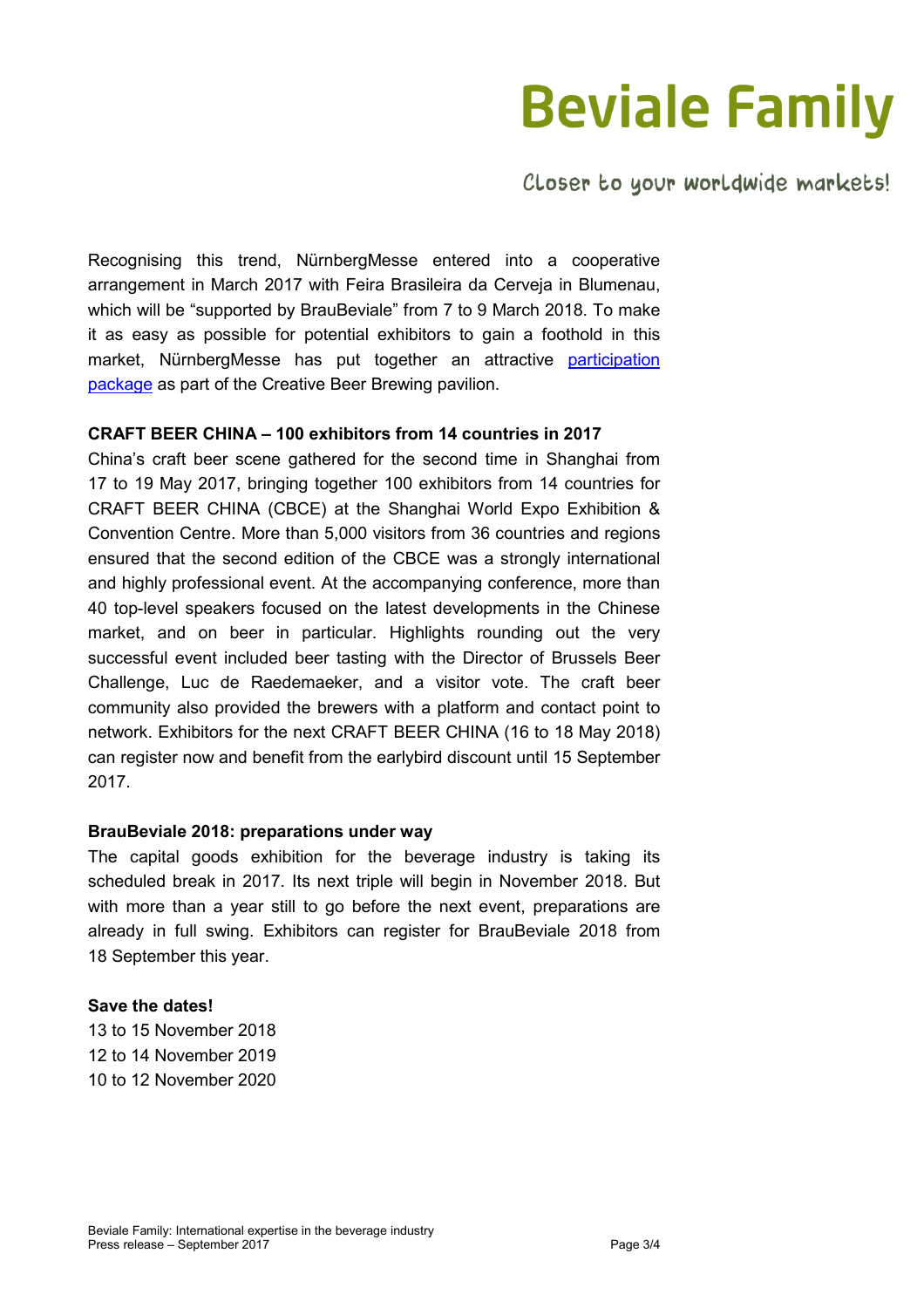Closer to your worldwide markets!

Recognising this trend, NürnbergMesse entered into a cooperative arrangement in March 2017 with Feira Brasileira da Cerveja in Blumenau, which will be "supported by BrauBeviale" from 7 to 9 March 2018. To make it as easy as possible for potential exhibitors to gain a foothold in this market, NürnbergMesse has put together an attractive participation package as part of the Creative Beer Brewing pavilion.

#### CRAFT BEER CHINA – 100 exhibitors from 14 countries in 2017

China's craft beer scene gathered for the second time in Shanghai from 17 to 19 May 2017, bringing together 100 exhibitors from 14 countries for CRAFT BEER CHINA (CBCE) at the Shanghai World Expo Exhibition & Convention Centre. More than 5,000 visitors from 36 countries and regions ensured that the second edition of the CBCE was a strongly international and highly professional event. At the accompanying conference, more than 40 top-level speakers focused on the latest developments in the Chinese market, and on beer in particular. Highlights rounding out the very successful event included beer tasting with the Director of Brussels Beer Challenge, Luc de Raedemaeker, and a visitor vote. The craft beer community also provided the brewers with a platform and contact point to network. Exhibitors for the next CRAFT BEER CHINA (16 to 18 May 2018) can register now and benefit from the earlybird discount until 15 September 2017.

#### BrauBeviale 2018: preparations under way

The capital goods exhibition for the beverage industry is taking its scheduled break in 2017. Its next triple will begin in November 2018. But with more than a year still to go before the next event, preparations are already in full swing. Exhibitors can register for BrauBeviale 2018 from 18 September this year.

#### Save the dates!

13 to 15 November 2018 12 to 14 November 2019 10 to 12 November 2020